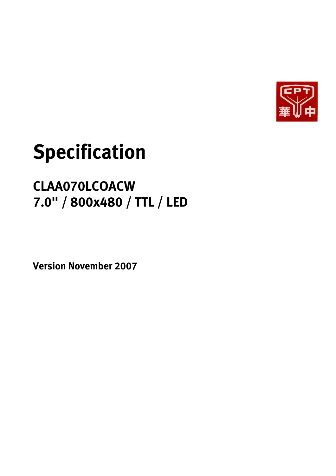

# **Specification**

# **CLAA070LCOACW 7.0" / 800x480 / TTL / LED**

**Version November 2007**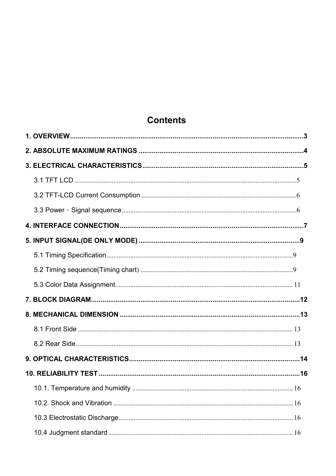# **Contents**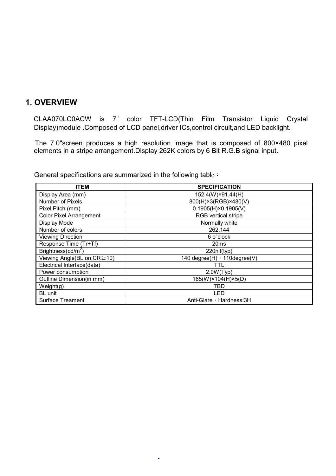#### **1. OVERVIEW**

CLAA070LC0ACW is 7" color TFT-LCD(Thin Film Transistor Liquid Crystal Display)module .Composed of LCD panel,driver ICs,control circuit,and LED backlight.

The 7.0"screen produces a high resolution image that is composed of 800×480 pixel elements in a stripe arrangement.Display 262K colors by 6 Bit R.G.B signal input.

General specifications are summarized in the following table :

| <b>ITEM</b>                        | <b>SPECIFICATION</b>          |
|------------------------------------|-------------------------------|
| Display Area (mm)                  | 152.4(W)×91.44(H)             |
| Number of Pixels                   | 800(H)×3(RGB)×480(V)          |
| Pixel Pitch (mm)                   | $0.1905(H) \times 0.1905(V)$  |
| <b>Color Pixel Arrangement</b>     | <b>RGB</b> vertical stripe    |
| Display Mode                       | Normally white                |
| Number of colors                   | 262,144                       |
| <b>Viewing Direction</b>           | 6 o'clock                     |
| Response Time (Tr+Tf)              | 20ms                          |
| Brightness( $cd/m2$ )              | 220nit(typ)                   |
| Viewing Angle(BL on, $CR \ge 10$ ) | 140 degree(H) , 110 degree(V) |
| Electrical Interface(data)         | 111                           |
| Power consumption                  | 2.0W(Typ)                     |
| Outline Dimension(in mm)           | 165(W)×104(H)×5(D)            |
| Weight(g)                          | TBD                           |
| <b>BL</b> unit                     | LED                           |
| <b>Surface Treament</b>            | Anti-Glare, Hardness: 3H      |

-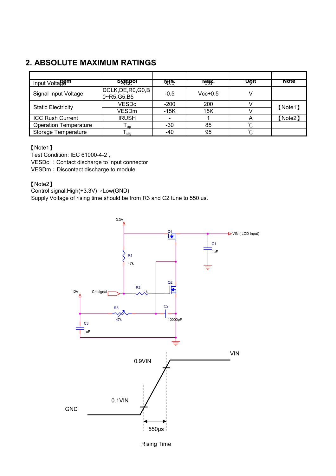# **2. ABSOLUTE MAXIMUM RATINGS**

| Input Voltagem               | <b>Symbol</b>                     | <b>Mig-</b> | <b>Mgax</b> . | Unit   | <b>Note</b> |
|------------------------------|-----------------------------------|-------------|---------------|--------|-------------|
| Signal Input Voltage         | DCLK, DE, R0, G0, B<br>0~R5,G5,B5 | $-0.5$      | $Vcc+0.5$     |        |             |
| <b>Static Electricity</b>    | <b>VESDc</b>                      | $-200$      | 200           |        | [Note1]     |
|                              | <b>VESDm</b>                      | $-15K$      | 15K           |        |             |
| <b>ICC Rush Current</b>      | <b>IRUSH</b>                      |             |               | A      | 【Note2】     |
| <b>Operation Temperature</b> | ${\mathsf T}_{\mathsf{op}}$       | -30         | 85            | $\sim$ |             |
| Storage Temperature          | <sup>l</sup> sta                  | -40         | 95            | $\sim$ |             |

#### [Note1]

Test Condition: IEC 61000-4-2 , VESDc : Contact discharge to input connector VESDm: Discontact discharge to module

#### [Note2]

Control signal: High(+3.3V) $\rightarrow$  Low(GND)

Supply Voltage of rising time should be from R3 and C2 tune to 550 us.



Rising Time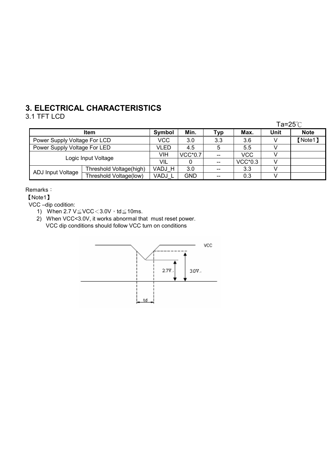# **3. ELECTRICAL CHARACTERISTICS**

# 3.1 TFT LCD

|                              |                         |        |                          |           |            | Ta=25 $°C$  |  |
|------------------------------|-------------------------|--------|--------------------------|-----------|------------|-------------|--|
|                              | Symbol                  | Min.   | Typ                      | Max.      | Unit       | <b>Note</b> |  |
| Power Supply Voltage For LCD | VCC                     | 3.0    | 3.3                      | 3.6       |            | 【Note1】     |  |
| Power Supply Voltage For LED | VLED                    | 4.5    | 5                        | 5.5       |            |             |  |
|                              | Logic Input Voltage     | VIH    | <b>VCC*0.7</b>           | $- -$     | <b>VCC</b> |             |  |
|                              | VIL                     |        | $\overline{\phantom{m}}$ | $VCC*0.3$ |            |             |  |
| ADJ Input Voltage            | Threshold Voltage(high) | VADJ H | 3.0                      |           | 3.3        |             |  |
|                              | Threshold Voltage(low)  | VADJ L | <b>GND</b>               |           | 0.3        |             |  |

#### Remarks:

[Note1]

VCC –dip codition:

- 1) When 2.7  $V \leq VCC < 3.0V \cdot td \leq 10ms$ .
- 2) When VCC<3.0V, it works abnormal that must reset power. VCC dip conditions should follow VCC turn on conditions

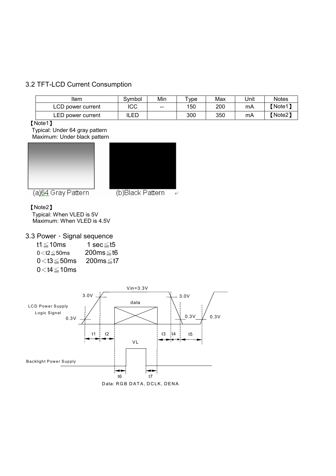#### 3.2 TFT-LCD Current Consumption

| Item              | Svmbol | Min               | $v_{\rm vpe}$ | Max | Unit | <b>Notes</b> |
|-------------------|--------|-------------------|---------------|-----|------|--------------|
| LCD power current | ICC    | $\hspace{0.05cm}$ | 150           | 200 | mA   | (Note1)      |
| LED power current | ILED   |                   | 300           | 350 | mA   | (Note2)      |

[Note1]

Typical: Under 64 gray pattern Maximum: Under black pattern





(a) 64 Gray Pattern

(b)Black Pattern

#### [Note2]

Typical: When VLED is 5V Maximum: When VLED is 4.5V

#### 3.3 Power · Signal sequence

| t1 $\leq$ 10ms      | 1 sec≤t5        |
|---------------------|-----------------|
| $0<$ t2 $\leq$ 50ms | $200ms \leq t6$ |
| $0<$ t $3\leq$ 50ms | 200ms≤t7        |
| $0<$ t4 $\leq$ 10ms |                 |

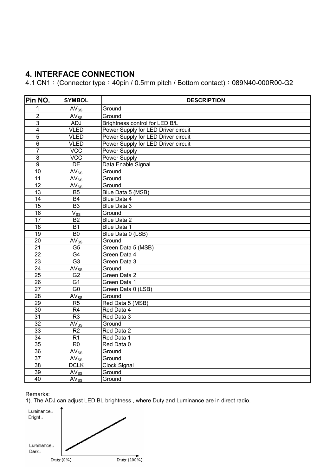# **4. INTERFACE CONNECTION**

4.1 CN1: (Connector type: 40pin / 0.5mm pitch / Bottom contact): 089N40-000R00-G2

| Pin NO.                 | <b>SYMBOL</b>               | <b>DESCRIPTION</b>                  |  |  |  |  |  |  |
|-------------------------|-----------------------------|-------------------------------------|--|--|--|--|--|--|
| $\mathbf 1$             | $AV_{SS}$                   | Ground                              |  |  |  |  |  |  |
| $\overline{2}$          | $AV_{SS}$                   | Ground                              |  |  |  |  |  |  |
| 3                       | ADJ                         | Brightness control for LED B/L      |  |  |  |  |  |  |
| $\overline{\mathbf{4}}$ | <b>VLED</b>                 | Power Supply for LED Driver circuit |  |  |  |  |  |  |
| $\overline{5}$          | <b>VLED</b>                 | Power Supply for LED Driver circuit |  |  |  |  |  |  |
| $\overline{6}$          | <b>VLED</b>                 | Power Supply for LED Driver circuit |  |  |  |  |  |  |
| $\overline{7}$          | <b>VCC</b>                  | <b>Power Supply</b>                 |  |  |  |  |  |  |
| $\overline{8}$          | <b>VCC</b>                  | <b>Power Supply</b>                 |  |  |  |  |  |  |
| $\overline{9}$          | DE                          | Data Enable Signal                  |  |  |  |  |  |  |
| 10                      | $AV_{SS}$                   | Ground                              |  |  |  |  |  |  |
| 11                      | $AV_{SS}$                   | Ground                              |  |  |  |  |  |  |
| 12                      | $AV_{SS}$                   | Ground                              |  |  |  |  |  |  |
| 13                      | B <sub>5</sub>              | Blue Data 5 (MSB)                   |  |  |  |  |  |  |
| $\overline{14}$         | $\overline{B4}$             | Blue Data 4                         |  |  |  |  |  |  |
| $\overline{15}$         | $\overline{B3}$             | Blue Data 3                         |  |  |  |  |  |  |
| $\overline{16}$         | $V_{SS}$                    | Ground                              |  |  |  |  |  |  |
| $\overline{17}$         | <b>B2</b>                   | <b>Blue Data 2</b>                  |  |  |  |  |  |  |
| 18                      | <b>B1</b>                   | Blue Data 1                         |  |  |  |  |  |  |
| 19                      | B <sub>0</sub>              | Blue Data 0 (LSB)                   |  |  |  |  |  |  |
| $\overline{20}$         | $AV_{SS}$                   | Ground                              |  |  |  |  |  |  |
| $\overline{21}$         | G <sub>5</sub>              | Green Data 5 (MSB)                  |  |  |  |  |  |  |
| $\overline{22}$         | G4                          | Green Data 4                        |  |  |  |  |  |  |
| $\overline{23}$         | G3                          | Green Data 3                        |  |  |  |  |  |  |
| $\overline{24}$         | $AV_{SS}$                   | Ground                              |  |  |  |  |  |  |
| 25                      | G2                          | Green Data 2                        |  |  |  |  |  |  |
| 26                      | G <sub>1</sub>              | Green Data 1                        |  |  |  |  |  |  |
| $\overline{27}$         | G <sub>0</sub>              | Green Data 0 (LSB)                  |  |  |  |  |  |  |
| $\overline{28}$         | $\overline{\text{AV}}_{SS}$ | Ground                              |  |  |  |  |  |  |
| 29                      | R <sub>5</sub>              | Red Data 5 (MSB)                    |  |  |  |  |  |  |
| $\overline{30}$         | $\overline{R4}$             | Red Data 4                          |  |  |  |  |  |  |
| 31                      | R <sub>3</sub>              | Red Data 3                          |  |  |  |  |  |  |
| $\overline{32}$         | $AV_{SS}$                   | Ground                              |  |  |  |  |  |  |
| 33                      | R <sub>2</sub>              | Red Data 2                          |  |  |  |  |  |  |
| 34                      | $\overline{R1}$             | Red Data 1                          |  |  |  |  |  |  |
| $\overline{35}$         | $\overline{R0}$             | Red Data 0                          |  |  |  |  |  |  |
| $\overline{36}$         | $AV_{SS}$                   | Ground                              |  |  |  |  |  |  |
| $\overline{37}$         | $AV_{SS}$                   | Ground                              |  |  |  |  |  |  |
| 38                      | <b>DCLK</b>                 | <b>Clock Signal</b>                 |  |  |  |  |  |  |
| 39                      | $AV_{SS}$                   | Ground                              |  |  |  |  |  |  |
| 40                      | $AV_{SS}$                   | Ground                              |  |  |  |  |  |  |

#### Remarks:

1). The ADJ can adjust LED BL brightness , where Duty and Luminance are in direct radio.

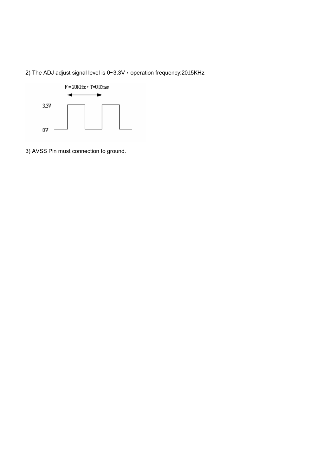2) The ADJ adjust signal level is 0~3.3V  $\cdot$  operation frequency:20±5KHz



3) AVSS Pin must connection to ground.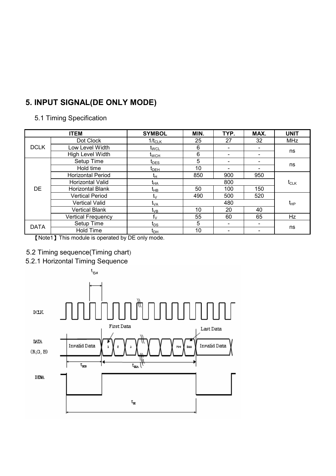# **5. INPUT SIGNAL(DE ONLY MODE)**

### 5.1 Timing Specification

|             | <b>ITEM</b>               | <b>SYMBOL</b>                         | MIN. | TYP. | MAX. | <b>UNIT</b> |
|-------------|---------------------------|---------------------------------------|------|------|------|-------------|
|             | Dot Clock                 | $1/t_{CLK}$                           | 25   | 27   | 32   | <b>MHz</b>  |
| <b>DCLK</b> | Low Level Width           | $t_{\text{WCL}}$                      | 6    |      |      |             |
|             | <b>High Level Width</b>   | t <sub>wch</sub>                      | 6    | -    |      | ns          |
|             | Setup Time                | $t_{\text{DES}}$                      | 5    | -    |      | ns          |
|             | Hold time                 | $\boldsymbol{\mathfrak{t}}_{\sf DEH}$ | 10   |      |      |             |
|             | <b>Horizontal Period</b>  | tμ                                    | 850  | 900  | 950  |             |
|             | Horizontal Valid          | t <sub>НА</sub>                       |      | 800  |      |             |
| <b>DE</b>   | Horizontal Blank          | t <sub>нв</sub>                       | 50   | 100  | 150  |             |
|             | <b>Vertical Period</b>    | tν                                    | 490  | 500  | 520  |             |
|             | <b>Vertical Valid</b>     | t <sub>VA</sub>                       |      | 480  |      | $t_{HP}$    |
|             | <b>Vertical Blank</b>     | t <sub>∨B</sub>                       | 10   | 20   | 40   |             |
|             | <b>Vertical Frequency</b> | $f_V$                                 | 55   | 60   | 65   | Hz          |
| <b>DATA</b> | Setup Time                | t <sub>DS</sub>                       | 5    |      |      |             |
|             | Hold Time                 | t <sub>DH</sub>                       | 10   |      |      | ns          |

[Note1] This module is operated by DE only mode.

#### 5.2 Timing sequence(Timing chart)

# 5.2.1 Horizontal Timing Sequence

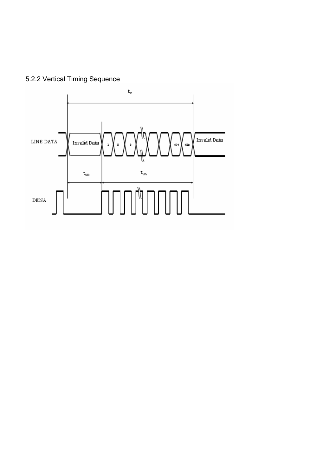5.2.2 Vertical Timing Sequence

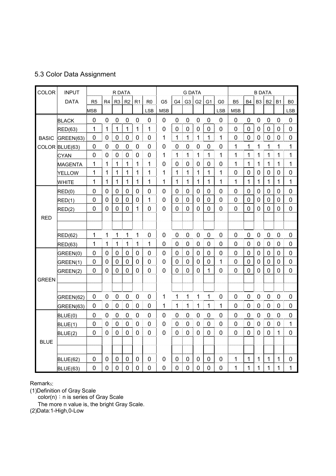#### 5.3 Color Data Assignment

| COLOR        | <b>INPUT</b>   |                |                | R DATA         |                  |                |                |                |                | <b>G DATA</b>  |                |                |                |                |                  | <b>B DATA</b>  |                |             |                  |
|--------------|----------------|----------------|----------------|----------------|------------------|----------------|----------------|----------------|----------------|----------------|----------------|----------------|----------------|----------------|------------------|----------------|----------------|-------------|------------------|
|              | <b>DATA</b>    | R <sub>5</sub> | R4             | R <sub>3</sub> | R <sub>2</sub>   | R <sub>1</sub> | R <sub>0</sub> | G <sub>5</sub> | G4             | G <sub>3</sub> | G <sub>2</sub> | G <sub>1</sub> | G <sub>0</sub> | B <sub>5</sub> | <b>B4</b>        | B <sub>3</sub> | <b>B2</b>      | <b>B1</b>   | B <sub>0</sub>   |
|              |                | <b>MSB</b>     |                |                |                  |                | <b>LSB</b>     | <b>MSB</b>     |                |                |                |                | <b>LSB</b>     | <b>MSB</b>     |                  |                |                |             | <b>LSB</b>       |
|              | <b>BLACK</b>   | 0              | $\mathbf 0$    | 0              | $\mathbf 0$      | 0              | $\overline{0}$ | 0              | $\mathbf 0$    | 0              | 0              | 0              | 0              | $\mathbf 0$    | $\mathbf 0$      | 0              | 0              | 0           | $\mathbf 0$      |
|              | RED(63)        | 1              | 1              | 1              | 1                | $\mathbf{1}$   | 1              | $\mathbf 0$    | $\mathbf 0$    | $\mathbf 0$    | $\overline{0}$ | 0              | 0              | $\overline{0}$ | $\mathbf 0$      | $\mathbf 0$    | 0              | 0           | $\pmb{0}$        |
| <b>BASIC</b> | GREEN(63)      | 0              | $\mathbf 0$    | $\mathbf 0$    | $\mathbf 0$      | 0              | $\mathbf 0$    | $\mathbf{1}$   | $\mathbf{1}$   | $\mathbf 1$    | 1              | 1              | 1              | 0              | $\mathbf 0$      | $\mathbf 0$    | $\mathbf 0$    | 0           | $\pmb{0}$        |
|              | COLOR BLUE(63) | $\mathbf 0$    | $\pmb{0}$      | $\mathbf 0$    | $\boldsymbol{0}$ | $\pmb{0}$      | $\mathbf 0$    | 0              | $\pmb{0}$      | $\mathbf 0$    | $\mathbf 0$    | $\mathbf 0$    | 0              | 1              | $\mathbf{1}$     | 1              | 1              | 1           | $\mathbf{1}$     |
|              | <b>CYAN</b>    | 0              | $\mathbf 0$    | $\mathbf 0$    | $\mathbf 0$      | 0              | $\overline{0}$ | 1              | 1              | $\mathbf 1$    | 1              | 1              | 1              | 1              | 1                | 1              | 1              | 1           | $\mathbf{1}$     |
|              | <b>MAGENTA</b> | 1              | 1              | 1              | 1                | $\mathbf{1}$   | 1              | $\mathbf 0$    | $\mathbf 0$    | $\mathbf 0$    | $\mathbf 0$    | $\mathbf 0$    | 0              | 1              | $\mathbf{1}$     | 1              | $\mathbf{1}$   | 1           | $\mathbf{1}$     |
|              | <b>YELLOW</b>  | 1              | 1              | 1              | 1                | 1              | 1              | 1              | 1              | 1              | 1              | 1              | 1              | $\overline{0}$ | 0                | $\mathbf 0$    | $\mathbf 0$    | 0           | $\pmb{0}$        |
|              | <b>WHITE</b>   | 1              | 1              | 1              | 1                | $\mathbf{1}$   | 1              | 1              | $\mathbf 1$    | 1              | 1              | 1              | 1              | 1              | $\mathbf{1}$     | 1              | 1              | 1           | $\mathbf{1}$     |
|              | RED(0)         | $\mathbf 0$    | $\mathbf 0$    | $\overline{0}$ | $\mathbf 0$      | 0              | $\mathbf 0$    | $\overline{0}$ | $\overline{0}$ | $\overline{0}$ | $\overline{0}$ | $\overline{0}$ | 0              | $\overline{0}$ | $\mathbf 0$      | $\mathbf 0$    | $\mathbf 0$    | 0           | $\mathbf 0$      |
|              | RED(1)         | 0              | $\overline{0}$ | 0              | $\Omega$         | $\mathbf 0$    | 1              | $\mathbf 0$    | $\mathbf 0$    | 0              | 0              | 0              | 0              | $\mathbf 0$    | $\mathbf 0$      | $\mathbf 0$    | $\mathbf 0$    | 0           | $\pmb{0}$        |
|              | RED(2)         | 0              | $\mathbf 0$    | 0              | 0                | 1              | $\overline{0}$ | 0              | 0              | 0              | $\overline{0}$ | 0              | 0              | 0              | $\mathbf 0$      | 0              | 0              | 0           | $\pmb{0}$        |
| <b>RED</b>   |                |                |                |                |                  |                |                |                |                |                |                |                |                |                |                  |                |                |             |                  |
|              |                |                |                |                |                  |                |                |                |                |                |                |                |                |                |                  |                |                |             |                  |
|              | <b>RED(62)</b> | 1              | 1              | 1              | 1                | 1              | $\mathbf 0$    | $\pmb{0}$      | $\pmb{0}$      | $\mathbf 0$    | 0              | $\mathbf 0$    | 0              | $\mathbf 0$    | $\mathbf 0$      | $\mathbf 0$    | $\mathbf 0$    | $\mathbf 0$ | $\pmb{0}$        |
|              | <b>RED(63)</b> | 1              | 1              | 1              | 1                | 1              | 1              | 0              | 0              | 0              | 0              | 0              | 0              | 0              | $\mathbf 0$      | 0              | 0              | 0           | $\boldsymbol{0}$ |
|              | GREEN(0)       | 0              | $\mathbf 0$    | $\mathbf 0$    | $\mathbf 0$      | $\mathbf 0$    | $\overline{0}$ | $\mathbf 0$    | $\mathbf 0$    | 0              | $\mathbf 0$    | 0              | 0              | $\overline{0}$ | $\mathbf 0$      | $\mathbf 0$    | $\mathbf 0$    | 0           | $\pmb{0}$        |
|              | GREEN(1)       | 0              | 0              | 0              | $\mathbf 0$      | 0              | $\overline{0}$ | 0              | $\mathbf 0$    | 0              | 0              | 0              | 1              | $\overline{0}$ | $\mathbf 0$      | $\mathbf 0$    | 0              | 0           | $\pmb{0}$        |
|              | GREEN(2)       | 0              | $\mathbf 0$    | $\mathbf 0$    | $\mathbf 0$      | $\mathbf 0$    | $\overline{0}$ | 0              | $\mathbf 0$    | $\mathbf 0$    | $\overline{0}$ | 1              | 0              | $\overline{0}$ | $\mathbf 0$      | $\overline{0}$ | $\overline{0}$ | $\mathbf 0$ | $\mathbf 0$      |
| <b>GREEN</b> |                |                |                |                |                  |                |                |                |                |                |                |                |                |                |                  |                |                |             |                  |
|              |                |                |                |                |                  |                |                |                |                |                |                |                |                |                |                  |                |                |             |                  |
|              | GREEN(62)      | 0              | $\mathbf 0$    | 0              | 0                | 0              | $\mathbf 0$    | 1              | 1              | 1              | $\mathbf 1$    | 1              | 0              | 0              | $\mathbf 0$      | $\mathbf 0$    | $\overline{0}$ | 0           | $\boldsymbol{0}$ |
|              | GREEN(63)      | $\mathbf 0$    | $\pmb{0}$      | $\mathbf 0$    | $\mathbf 0$      | $\mathbf 0$    | $\mathbf 0$    | 1              | 1              | $\mathbf{1}$   | $\mathbf 1$    | $\mathbf 1$    | $\mathbf{1}$   | $\overline{0}$ | $\mathbf 0$      | $\pmb{0}$      | 0              | $\mathbf 0$ | $\boldsymbol{0}$ |
|              | BLUE(0)        | 0              | $\mathbf 0$    | $\mathbf 0$    | $\mathbf 0$      | $\mathbf 0$    | $\mathbf 0$    | $\pmb{0}$      | $\pmb{0}$      | $\mathbf 0$    | 0              | $\mathbf 0$    | 0              | $\mathbf 0$    | $\pmb{0}$        | $\mathbf 0$    | $\mathbf 0$    | $\mathbf 0$ | $\pmb{0}$        |
|              | BLUE(1)        | 0              | $\mathbf 0$    | $\mathbf 0$    | $\mathbf 0$      | 0              | $\mathbf 0$    | 0              | 0              | 0              | $\mathbf 0$    | 0              | 0              | 0              | $\boldsymbol{0}$ | $\mathbf 0$    | $\mathbf 0$    | 0           | $\mathbf 1$      |
|              | BLUE(2)        | $\mathbf 0$    | 0              | $\mathbf 0$    | $\mathbf 0$      | 0              | $\mathbf 0$    | 0              | $\mathbf 0$    | $\mathbf 0$    | $\mathbf 0$    | 0              | 0              | $\mathbf 0$    | $\mathbf 0$      | 0              | 0              | $\mathbf 1$ | $\mathbf 0$      |
| <b>BLUE</b>  |                |                |                |                |                  |                |                |                |                |                |                |                |                |                |                  |                |                |             |                  |
|              |                |                |                |                |                  |                |                |                |                |                |                |                |                |                |                  |                |                |             |                  |
|              | BLUE(62)       | 0              | $\Omega$       | $\mathbf 0$    | 0                | 0              | 0              | 0              | $\mathbf 0$    | $\mathbf 0$    | 0              | 0              | 0              | 1              | $\mathbf{1}$     | 1              | 1              | 1           | $\pmb{0}$        |
|              | BLUE(63)       | 0              | 0              | 0              | $\mathbf 0$      | $\mathbf 0$    | $\mathbf 0$    | $\mathbf 0$    | $\mathbf 0$    | $\mathbf 0$    | 0              | 0              | 0              | 1              | 1                | 1              | 1              | 1           | 1                |

#### Remarks:

(1)Definition of Gray Scale

color(n): n is series of Gray Scale

The more n value is, the bright Gray Scale.

(2)Data:1-High,0-Low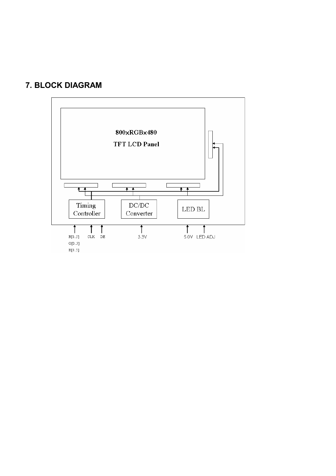# **7. BLOCK DIAGRAM**

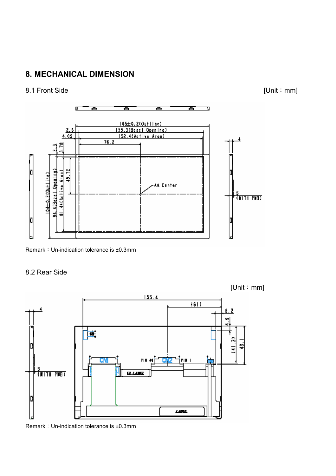# **8. MECHANICAL DIMENSION**

#### 8.1 Front Side [Unit: mm]



Remark: Un-indication tolerance is ±0.3mm

#### 8.2 Rear Side



Remark: Un-indication tolerance is ±0.3mm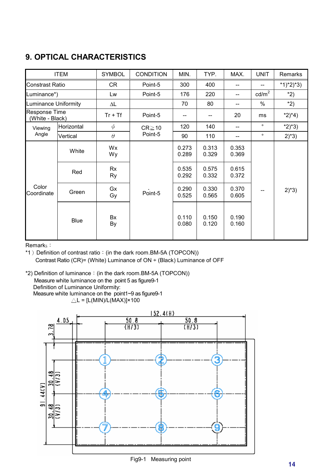# **9. OPTICAL CHARACTERISTICS**

|                                         | <b>ITEM</b> | <b>SYMBOL</b><br><b>CONDITION</b> |             | MIN.           | TYP.           | MAX.           | <b>UNIT</b>     | Remarks     |
|-----------------------------------------|-------------|-----------------------------------|-------------|----------------|----------------|----------------|-----------------|-------------|
| Constrast Ratio                         |             | CR                                | Point-5     | 300            | 400            |                |                 | $*1)*2)*3)$ |
| Luminance*)                             |             | Lw                                | Point-5     | 176            | 220            | --             | $\text{cd/m}^2$ | $*2)$       |
| <b>Luminance Uniformity</b>             |             | $\Delta\mathsf{L}$                |             | 70             | 80             |                | $\%$            | $*2)$       |
| <b>Response Time</b><br>(White - Black) |             | $Tr + Tf$                         | Point-5     |                | --             | 20             | ms              | $*2)*4)$    |
| Viewing                                 | Horizontal  | $\phi$                            | $CR \ge 10$ | 120            | 140            |                | $\circ$         | $*2)*3)$    |
| Angle                                   | Vertical    | $\theta$                          | Point-5     | 90             | 110            | --             | $\circ$         | $2)^{*}3)$  |
|                                         | White       | Wx<br>Wy                          |             | 0.273<br>0.289 | 0.313<br>0.329 | 0.353<br>0.369 |                 | $2^*3$      |
|                                         | Red         | Rx<br>Ry                          |             | 0.535<br>0.292 | 0.575<br>0.332 | 0.615<br>0.372 |                 |             |
| Color<br>Coordinate                     | Green       | Gx<br>Gy                          | Point-5     | 0.290<br>0.525 | 0.330<br>0.565 | 0.370<br>0.605 |                 |             |
|                                         | <b>Blue</b> | Bx<br>By                          |             | 0.110<br>0.080 | 0.150<br>0.120 | 0.190<br>0.160 |                 |             |

Remark<sub>s</sub>:

\*1) Definition of contrast ratio: (in the dark room.BM-5A (TOPCON)) Contrast Ratio (CR)= (White) Luminance of ON ÷ (Black) Luminance of OFF

\*2) Definition of luminance: (in the dark room.BM-5A (TOPCON)) Measure white luminance on the point 5 as figure9-1 Definition of Luminance Uniformity:

Measure white luminance on the point1~9 as figure9-1

 $\triangle L = [L(MIN)/L(MAX)] \times 100$ 



# Fig9-1 Measuring point 14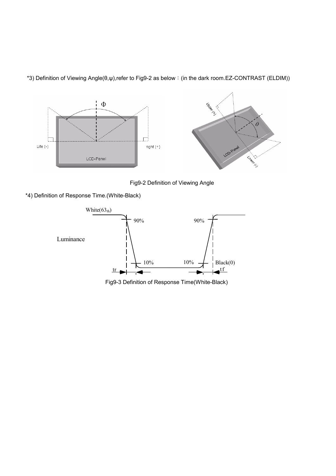

\*3) Definition of Viewing Angle(θ,ψ),refer to Fig9-2 as below: (in the dark room.EZ-CONTRAST (ELDIM))

Fig9-2 Definition of Viewing Angle

\*4) Definition of Response Time.(White-Black)



Fig9-3 Definition of Response Time(White-Black)